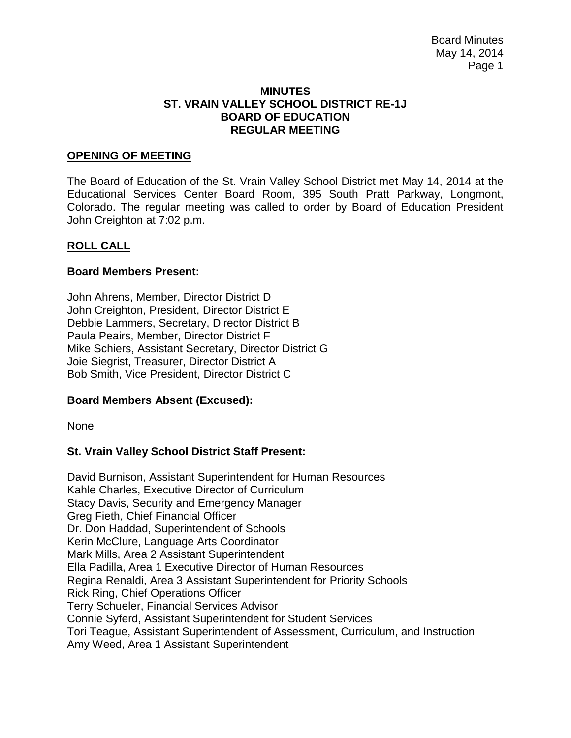#### **MINUTES ST. VRAIN VALLEY SCHOOL DISTRICT RE-1J BOARD OF EDUCATION REGULAR MEETING**

### **OPENING OF MEETING**

The Board of Education of the St. Vrain Valley School District met May 14, 2014 at the Educational Services Center Board Room, 395 South Pratt Parkway, Longmont, Colorado. The regular meeting was called to order by Board of Education President John Creighton at 7:02 p.m.

### **ROLL CALL**

#### **Board Members Present:**

John Ahrens, Member, Director District D John Creighton, President, Director District E Debbie Lammers, Secretary, Director District B Paula Peairs, Member, Director District F Mike Schiers, Assistant Secretary, Director District G Joie Siegrist, Treasurer, Director District A Bob Smith, Vice President, Director District C

#### **Board Members Absent (Excused):**

None

### **St. Vrain Valley School District Staff Present:**

David Burnison, Assistant Superintendent for Human Resources Kahle Charles, Executive Director of Curriculum Stacy Davis, Security and Emergency Manager Greg Fieth, Chief Financial Officer Dr. Don Haddad, Superintendent of Schools Kerin McClure, Language Arts Coordinator Mark Mills, Area 2 Assistant Superintendent Ella Padilla, Area 1 Executive Director of Human Resources Regina Renaldi, Area 3 Assistant Superintendent for Priority Schools Rick Ring, Chief Operations Officer Terry Schueler, Financial Services Advisor Connie Syferd, Assistant Superintendent for Student Services Tori Teague, Assistant Superintendent of Assessment, Curriculum, and Instruction Amy Weed, Area 1 Assistant Superintendent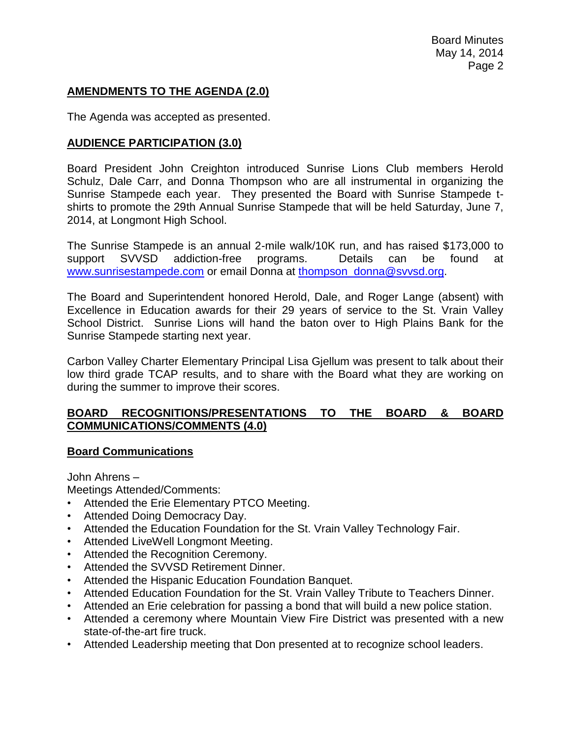# **AMENDMENTS TO THE AGENDA (2.0)**

The Agenda was accepted as presented.

## **AUDIENCE PARTICIPATION (3.0)**

Board President John Creighton introduced Sunrise Lions Club members Herold Schulz, Dale Carr, and Donna Thompson who are all instrumental in organizing the Sunrise Stampede each year. They presented the Board with Sunrise Stampede tshirts to promote the 29th Annual Sunrise Stampede that will be held Saturday, June 7, 2014, at Longmont High School.

The Sunrise Stampede is an annual 2-mile walk/10K run, and has raised \$173,000 to support SVVSD addiction-free programs. Details can be found at [www.sunrisestampede.com](http://www.sunrisestampede.com/) or email Donna at [thompson\\_donna@svvsd.org.](mailto:thompson_donna@svvsd.org)

The Board and Superintendent honored Herold, Dale, and Roger Lange (absent) with Excellence in Education awards for their 29 years of service to the St. Vrain Valley School District. Sunrise Lions will hand the baton over to High Plains Bank for the Sunrise Stampede starting next year.

Carbon Valley Charter Elementary Principal Lisa Gjellum was present to talk about their low third grade TCAP results, and to share with the Board what they are working on during the summer to improve their scores.

### **BOARD RECOGNITIONS/PRESENTATIONS TO THE BOARD & BOARD COMMUNICATIONS/COMMENTS (4.0)**

### **Board Communications**

John Ahrens –

Meetings Attended/Comments:

- Attended the Erie Elementary PTCO Meeting.
- Attended Doing Democracy Day.
- Attended the Education Foundation for the St. Vrain Valley Technology Fair.
- Attended LiveWell Longmont Meeting.
- Attended the Recognition Ceremony.
- Attended the SVVSD Retirement Dinner.
- Attended the Hispanic Education Foundation Banquet.
- Attended Education Foundation for the St. Vrain Valley Tribute to Teachers Dinner.
- Attended an Erie celebration for passing a bond that will build a new police station.
- Attended a ceremony where Mountain View Fire District was presented with a new state-of-the-art fire truck.
- Attended Leadership meeting that Don presented at to recognize school leaders.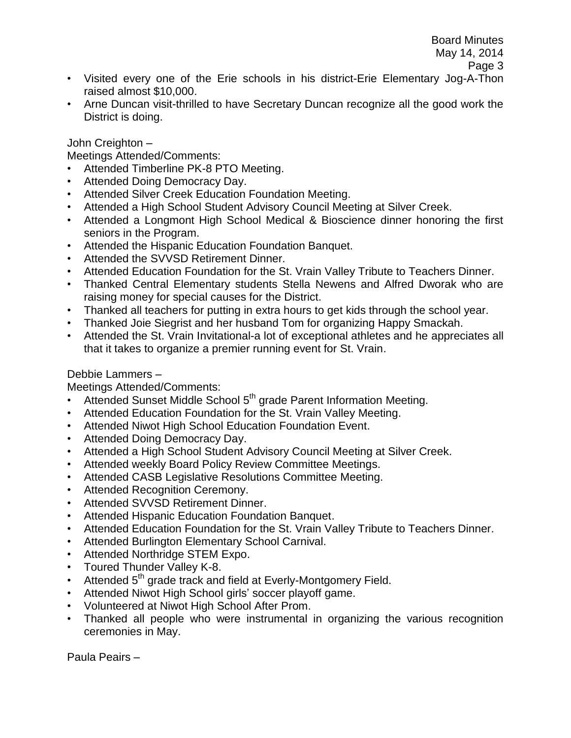- Visited every one of the Erie schools in his district-Erie Elementary Jog-A-Thon raised almost \$10,000.
- Arne Duncan visit-thrilled to have Secretary Duncan recognize all the good work the District is doing.

John Creighton –

Meetings Attended/Comments:

- Attended Timberline PK-8 PTO Meeting.
- Attended Doing Democracy Day.
- Attended Silver Creek Education Foundation Meeting.
- Attended a High School Student Advisory Council Meeting at Silver Creek.
- Attended a Longmont High School Medical & Bioscience dinner honoring the first seniors in the Program.
- Attended the Hispanic Education Foundation Banquet.
- Attended the SVVSD Retirement Dinner.
- Attended Education Foundation for the St. Vrain Valley Tribute to Teachers Dinner.
- Thanked Central Elementary students Stella Newens and Alfred Dworak who are raising money for special causes for the District.
- Thanked all teachers for putting in extra hours to get kids through the school year.
- Thanked Joie Siegrist and her husband Tom for organizing Happy Smackah.
- Attended the St. Vrain Invitational-a lot of exceptional athletes and he appreciates all that it takes to organize a premier running event for St. Vrain.

## Debbie Lammers –

Meetings Attended/Comments:

- $\cdot$  Attended Sunset Middle School  $5<sup>th</sup>$  grade Parent Information Meeting.
- Attended Education Foundation for the St. Vrain Valley Meeting.
- Attended Niwot High School Education Foundation Event.
- Attended Doing Democracy Day.
- Attended a High School Student Advisory Council Meeting at Silver Creek.
- Attended weekly Board Policy Review Committee Meetings.
- Attended CASB Legislative Resolutions Committee Meeting.
- Attended Recognition Ceremony.
- Attended SVVSD Retirement Dinner.
- Attended Hispanic Education Foundation Banquet.
- Attended Education Foundation for the St. Vrain Valley Tribute to Teachers Dinner.
- Attended Burlington Elementary School Carnival.
- Attended Northridge STEM Expo.
- Toured Thunder Valley K-8.
- Attended 5<sup>th</sup> grade track and field at Everly-Montgomery Field.
- Attended Niwot High School girls' soccer playoff game.
- Volunteered at Niwot High School After Prom.
- Thanked all people who were instrumental in organizing the various recognition ceremonies in May.

Paula Peairs –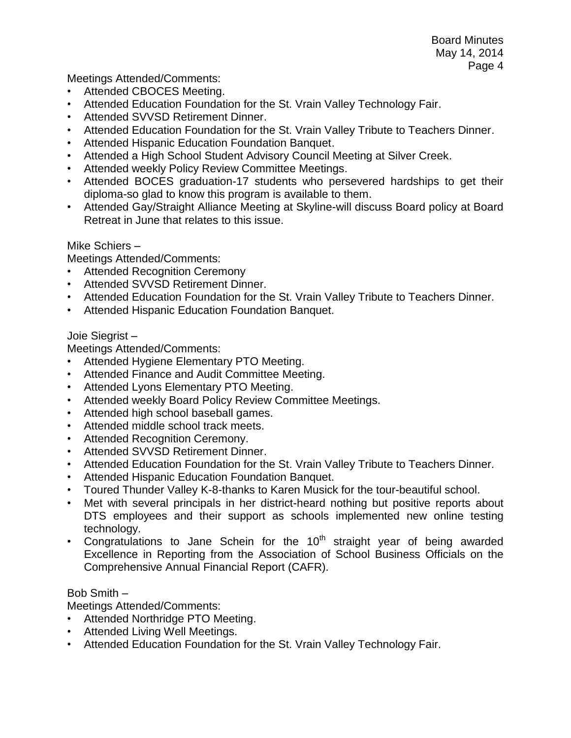Meetings Attended/Comments:

- Attended CBOCES Meeting.
- Attended Education Foundation for the St. Vrain Valley Technology Fair.
- Attended SVVSD Retirement Dinner.
- Attended Education Foundation for the St. Vrain Valley Tribute to Teachers Dinner.
- Attended Hispanic Education Foundation Banquet.
- Attended a High School Student Advisory Council Meeting at Silver Creek.
- Attended weekly Policy Review Committee Meetings.
- Attended BOCES graduation-17 students who persevered hardships to get their diploma-so glad to know this program is available to them.
- Attended Gay/Straight Alliance Meeting at Skyline-will discuss Board policy at Board Retreat in June that relates to this issue.

### Mike Schiers –

Meetings Attended/Comments:

- **Attended Recognition Ceremony**
- Attended SVVSD Retirement Dinner.
- Attended Education Foundation for the St. Vrain Valley Tribute to Teachers Dinner.
- Attended Hispanic Education Foundation Banquet.

### Joie Siegrist –

Meetings Attended/Comments:

- Attended Hygiene Elementary PTO Meeting.
- Attended Finance and Audit Committee Meeting.
- Attended Lyons Elementary PTO Meeting.
- Attended weekly Board Policy Review Committee Meetings.
- Attended high school baseball games.
- Attended middle school track meets.
- Attended Recognition Ceremony.
- Attended SVVSD Retirement Dinner.
- Attended Education Foundation for the St. Vrain Valley Tribute to Teachers Dinner.
- Attended Hispanic Education Foundation Banquet.
- Toured Thunder Valley K-8-thanks to Karen Musick for the tour-beautiful school.
- Met with several principals in her district-heard nothing but positive reports about DTS employees and their support as schools implemented new online testing technology.
- Congratulations to Jane Schein for the  $10<sup>th</sup>$  straight year of being awarded Excellence in Reporting from the Association of School Business Officials on the Comprehensive Annual Financial Report (CAFR).

### Bob Smith –

Meetings Attended/Comments:

- Attended Northridge PTO Meeting.
- Attended Living Well Meetings.
- Attended Education Foundation for the St. Vrain Valley Technology Fair.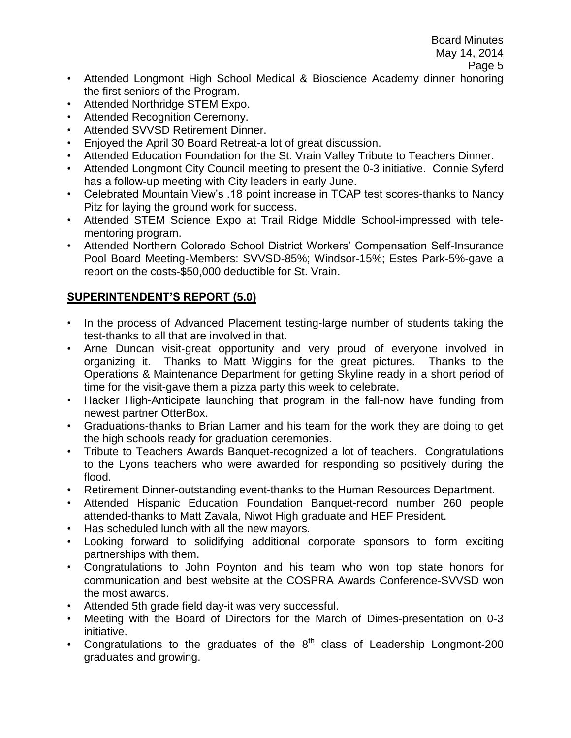- Attended Longmont High School Medical & Bioscience Academy dinner honoring the first seniors of the Program.
- Attended Northridge STEM Expo.
- Attended Recognition Ceremony.
- Attended SVVSD Retirement Dinner.
- Enjoyed the April 30 Board Retreat-a lot of great discussion.
- Attended Education Foundation for the St. Vrain Valley Tribute to Teachers Dinner.
- Attended Longmont City Council meeting to present the 0-3 initiative. Connie Syferd has a follow-up meeting with City leaders in early June.
- Celebrated Mountain View's .18 point increase in TCAP test scores-thanks to Nancy Pitz for laying the ground work for success.
- Attended STEM Science Expo at Trail Ridge Middle School-impressed with telementoring program.
- Attended Northern Colorado School District Workers' Compensation Self-Insurance Pool Board Meeting-Members: SVVSD-85%; Windsor-15%; Estes Park-5%-gave a report on the costs-\$50,000 deductible for St. Vrain.

# **SUPERINTENDENT'S REPORT (5.0)**

- In the process of Advanced Placement testing-large number of students taking the test-thanks to all that are involved in that.
- Arne Duncan visit-great opportunity and very proud of everyone involved in organizing it. Thanks to Matt Wiggins for the great pictures. Thanks to the Operations & Maintenance Department for getting Skyline ready in a short period of time for the visit-gave them a pizza party this week to celebrate.
- Hacker High-Anticipate launching that program in the fall-now have funding from newest partner OtterBox.
- Graduations-thanks to Brian Lamer and his team for the work they are doing to get the high schools ready for graduation ceremonies.
- Tribute to Teachers Awards Banquet-recognized a lot of teachers. Congratulations to the Lyons teachers who were awarded for responding so positively during the flood.
- Retirement Dinner-outstanding event-thanks to the Human Resources Department.
- Attended Hispanic Education Foundation Banquet-record number 260 people attended-thanks to Matt Zavala, Niwot High graduate and HEF President.
- Has scheduled lunch with all the new mayors.
- Looking forward to solidifying additional corporate sponsors to form exciting partnerships with them.
- Congratulations to John Poynton and his team who won top state honors for communication and best website at the COSPRA Awards Conference-SVVSD won the most awards.
- Attended 5th grade field day-it was very successful.
- Meeting with the Board of Directors for the March of Dimes-presentation on 0-3 initiative.
- Congratulations to the graduates of the  $8<sup>th</sup>$  class of Leadership Longmont-200 graduates and growing.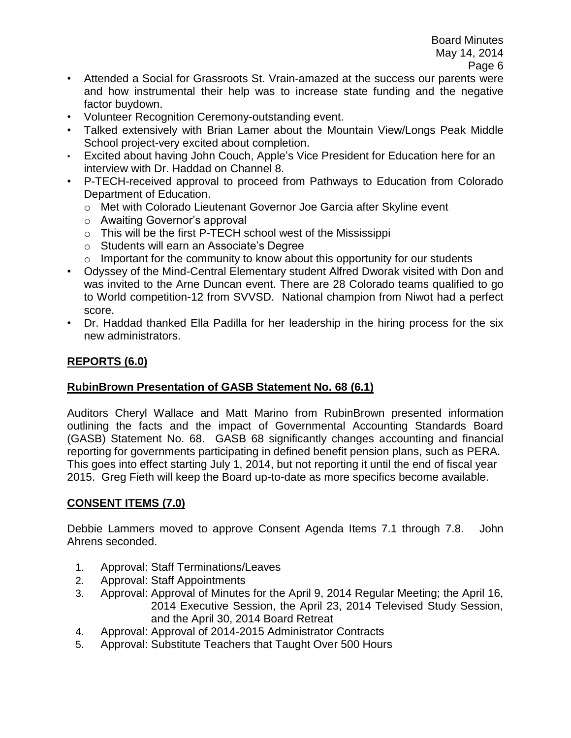- Attended a Social for Grassroots St. Vrain-amazed at the success our parents were and how instrumental their help was to increase state funding and the negative factor buydown.
- Volunteer Recognition Ceremony-outstanding event.
- Talked extensively with Brian Lamer about the Mountain View/Longs Peak Middle School project-very excited about completion.
- Excited about having John Couch, Apple's Vice President for Education here for an interview with Dr. Haddad on Channel 8.
- P-TECH-received approval to proceed from Pathways to Education from Colorado Department of Education.
	- o Met with Colorado Lieutenant Governor Joe Garcia after Skyline event
	- o Awaiting Governor's approval
	- $\circ$  This will be the first P-TECH school west of the Mississippi
	- o Students will earn an Associate's Degree
	- $\circ$  Important for the community to know about this opportunity for our students
- Odyssey of the Mind-Central Elementary student Alfred Dworak visited with Don and was invited to the Arne Duncan event. There are 28 Colorado teams qualified to go to World competition-12 from SVVSD. National champion from Niwot had a perfect score.
- Dr. Haddad thanked Ella Padilla for her leadership in the hiring process for the six new administrators.

# **REPORTS (6.0)**

# **RubinBrown Presentation of GASB Statement No. 68 (6.1)**

Auditors Cheryl Wallace and Matt Marino from RubinBrown presented information outlining the facts and the impact of Governmental Accounting Standards Board (GASB) Statement No. 68. GASB 68 significantly changes accounting and financial reporting for governments participating in defined benefit pension plans, such as PERA. This goes into effect starting July 1, 2014, but not reporting it until the end of fiscal year 2015. Greg Fieth will keep the Board up-to-date as more specifics become available.

# **CONSENT ITEMS (7.0)**

Debbie Lammers moved to approve Consent Agenda Items 7.1 through 7.8. John Ahrens seconded.

- 1. Approval: Staff Terminations/Leaves
- 2. Approval: Staff Appointments
- 3. Approval: Approval of Minutes for the April 9, 2014 Regular Meeting; the April 16, 2014 Executive Session, the April 23, 2014 Televised Study Session, and the April 30, 2014 Board Retreat
- 4. Approval: Approval of 2014-2015 Administrator Contracts
- 5. Approval: Substitute Teachers that Taught Over 500 Hours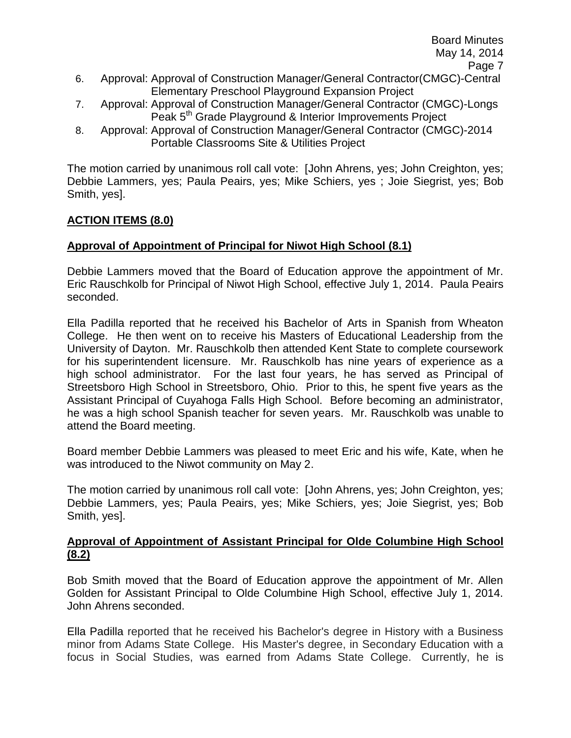- 6. Approval: Approval of Construction Manager/General Contractor(CMGC)-Central Elementary Preschool Playground Expansion Project
- 7. Approval: Approval of Construction Manager/General Contractor (CMGC)-Longs Peak 5<sup>th</sup> Grade Playground & Interior Improvements Project
- 8. Approval: Approval of Construction Manager/General Contractor (CMGC)-2014 Portable Classrooms Site & Utilities Project

The motion carried by unanimous roll call vote: [John Ahrens, yes; John Creighton, yes; Debbie Lammers, yes; Paula Peairs, yes; Mike Schiers, yes ; Joie Siegrist, yes; Bob Smith, yes].

# **ACTION ITEMS (8.0)**

# **Approval of Appointment of Principal for Niwot High School (8.1)**

Debbie Lammers moved that the Board of Education approve the appointment of Mr. Eric Rauschkolb for Principal of Niwot High School, effective July 1, 2014. Paula Peairs seconded.

Ella Padilla reported that he received his Bachelor of Arts in Spanish from Wheaton College. He then went on to receive his Masters of Educational Leadership from the University of Dayton. Mr. Rauschkolb then attended Kent State to complete coursework for his superintendent licensure. Mr. Rauschkolb has nine years of experience as a high school administrator. For the last four years, he has served as Principal of Streetsboro High School in Streetsboro, Ohio. Prior to this, he spent five years as the Assistant Principal of Cuyahoga Falls High School. Before becoming an administrator, he was a high school Spanish teacher for seven years. Mr. Rauschkolb was unable to attend the Board meeting.

Board member Debbie Lammers was pleased to meet Eric and his wife, Kate, when he was introduced to the Niwot community on May 2.

The motion carried by unanimous roll call vote: [John Ahrens, yes; John Creighton, yes; Debbie Lammers, yes; Paula Peairs, yes; Mike Schiers, yes; Joie Siegrist, yes; Bob Smith, yes].

## **Approval of Appointment of Assistant Principal for Olde Columbine High School (8.2)**

Bob Smith moved that the Board of Education approve the appointment of Mr. Allen Golden for Assistant Principal to Olde Columbine High School, effective July 1, 2014. John Ahrens seconded.

Ella Padilla reported that he received his Bachelor's degree in History with a Business minor from Adams State College. His Master's degree, in Secondary Education with a focus in Social Studies, was earned from Adams State College. Currently, he is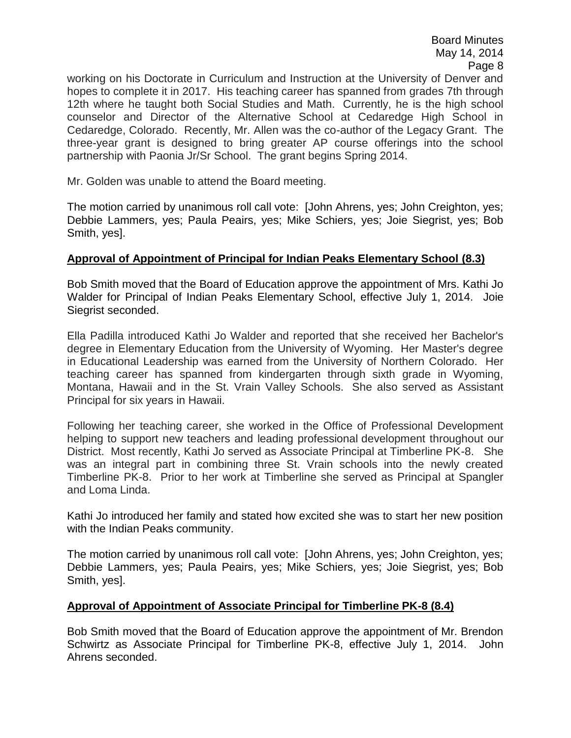working on his Doctorate in Curriculum and Instruction at the University of Denver and hopes to complete it in 2017. His teaching career has spanned from grades 7th through 12th where he taught both Social Studies and Math. Currently, he is the high school counselor and Director of the Alternative School at Cedaredge High School in Cedaredge, Colorado. Recently, Mr. Allen was the co-author of the Legacy Grant. The three-year grant is designed to bring greater AP course offerings into the school partnership with Paonia Jr/Sr School. The grant begins Spring 2014.

Mr. Golden was unable to attend the Board meeting.

The motion carried by unanimous roll call vote: [John Ahrens, yes; John Creighton, yes; Debbie Lammers, yes; Paula Peairs, yes; Mike Schiers, yes; Joie Siegrist, yes; Bob Smith, yes].

### **Approval of Appointment of Principal for Indian Peaks Elementary School (8.3)**

Bob Smith moved that the Board of Education approve the appointment of Mrs. Kathi Jo Walder for Principal of Indian Peaks Elementary School, effective July 1, 2014. Joie Siegrist seconded.

Ella Padilla introduced Kathi Jo Walder and reported that she received her Bachelor's degree in Elementary Education from the University of Wyoming. Her Master's degree in Educational Leadership was earned from the University of Northern Colorado. Her teaching career has spanned from kindergarten through sixth grade in Wyoming, Montana, Hawaii and in the St. Vrain Valley Schools. She also served as Assistant Principal for six years in Hawaii.

Following her teaching career, she worked in the Office of Professional Development helping to support new teachers and leading professional development throughout our District. Most recently, Kathi Jo served as Associate Principal at Timberline PK-8. She was an integral part in combining three St. Vrain schools into the newly created Timberline PK-8. Prior to her work at Timberline she served as Principal at Spangler and Loma Linda.

Kathi Jo introduced her family and stated how excited she was to start her new position with the Indian Peaks community.

The motion carried by unanimous roll call vote: [John Ahrens, yes; John Creighton, yes; Debbie Lammers, yes; Paula Peairs, yes; Mike Schiers, yes; Joie Siegrist, yes; Bob Smith, yes].

#### **Approval of Appointment of Associate Principal for Timberline PK-8 (8.4)**

Bob Smith moved that the Board of Education approve the appointment of Mr. Brendon Schwirtz as Associate Principal for Timberline PK-8, effective July 1, 2014. John Ahrens seconded.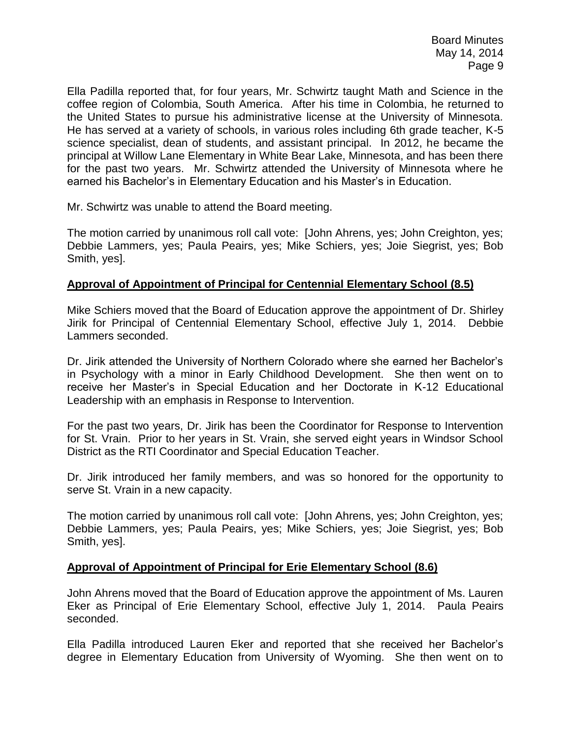Ella Padilla reported that, for four years, Mr. Schwirtz taught Math and Science in the coffee region of Colombia, South America. After his time in Colombia, he returned to the United States to pursue his administrative license at the University of Minnesota. He has served at a variety of schools, in various roles including 6th grade teacher, K-5 science specialist, dean of students, and assistant principal. In 2012, he became the principal at Willow Lane Elementary in White Bear Lake, Minnesota, and has been there for the past two years. Mr. Schwirtz attended the University of Minnesota where he earned his Bachelor's in Elementary Education and his Master's in Education.

Mr. Schwirtz was unable to attend the Board meeting.

The motion carried by unanimous roll call vote: [John Ahrens, yes; John Creighton, yes; Debbie Lammers, yes; Paula Peairs, yes; Mike Schiers, yes; Joie Siegrist, yes; Bob Smith, yes].

### **Approval of Appointment of Principal for Centennial Elementary School (8.5)**

Mike Schiers moved that the Board of Education approve the appointment of Dr. Shirley Jirik for Principal of Centennial Elementary School, effective July 1, 2014. Debbie Lammers seconded.

Dr. Jirik attended the University of Northern Colorado where she earned her Bachelor's in Psychology with a minor in Early Childhood Development. She then went on to receive her Master's in Special Education and her Doctorate in K-12 Educational Leadership with an emphasis in Response to Intervention.

For the past two years, Dr. Jirik has been the Coordinator for Response to Intervention for St. Vrain. Prior to her years in St. Vrain, she served eight years in Windsor School District as the RTI Coordinator and Special Education Teacher.

Dr. Jirik introduced her family members, and was so honored for the opportunity to serve St. Vrain in a new capacity.

The motion carried by unanimous roll call vote: [John Ahrens, yes; John Creighton, yes; Debbie Lammers, yes; Paula Peairs, yes; Mike Schiers, yes; Joie Siegrist, yes; Bob Smith, yes].

### **Approval of Appointment of Principal for Erie Elementary School (8.6)**

John Ahrens moved that the Board of Education approve the appointment of Ms. Lauren Eker as Principal of Erie Elementary School, effective July 1, 2014. Paula Peairs seconded.

Ella Padilla introduced Lauren Eker and reported that she received her Bachelor's degree in Elementary Education from University of Wyoming. She then went on to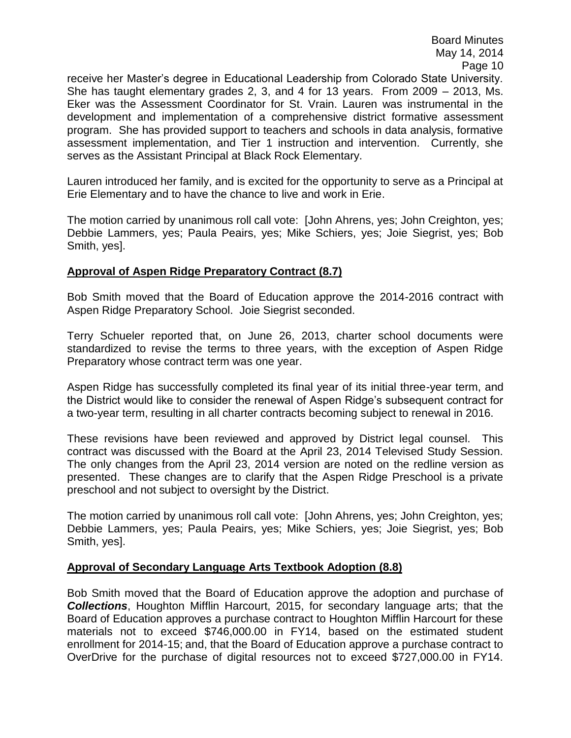receive her Master's degree in Educational Leadership from Colorado State University. She has taught elementary grades 2, 3, and 4 for 13 years. From 2009 – 2013, Ms. Eker was the Assessment Coordinator for St. Vrain. Lauren was instrumental in the development and implementation of a comprehensive district formative assessment program. She has provided support to teachers and schools in data analysis, formative assessment implementation, and Tier 1 instruction and intervention. Currently, she serves as the Assistant Principal at Black Rock Elementary.

Lauren introduced her family, and is excited for the opportunity to serve as a Principal at Erie Elementary and to have the chance to live and work in Erie.

The motion carried by unanimous roll call vote: [John Ahrens, yes; John Creighton, yes; Debbie Lammers, yes; Paula Peairs, yes; Mike Schiers, yes; Joie Siegrist, yes; Bob Smith, yes].

## **Approval of Aspen Ridge Preparatory Contract (8.7)**

Bob Smith moved that the Board of Education approve the 2014-2016 contract with Aspen Ridge Preparatory School. Joie Siegrist seconded.

Terry Schueler reported that, on June 26, 2013, charter school documents were standardized to revise the terms to three years, with the exception of Aspen Ridge Preparatory whose contract term was one year.

Aspen Ridge has successfully completed its final year of its initial three-year term, and the District would like to consider the renewal of Aspen Ridge's subsequent contract for a two-year term, resulting in all charter contracts becoming subject to renewal in 2016.

These revisions have been reviewed and approved by District legal counsel. This contract was discussed with the Board at the April 23, 2014 Televised Study Session. The only changes from the April 23, 2014 version are noted on the redline version as presented. These changes are to clarify that the Aspen Ridge Preschool is a private preschool and not subject to oversight by the District.

The motion carried by unanimous roll call vote: [John Ahrens, yes; John Creighton, yes; Debbie Lammers, yes; Paula Peairs, yes; Mike Schiers, yes; Joie Siegrist, yes; Bob Smith, yes].

### **Approval of Secondary Language Arts Textbook Adoption (8.8)**

Bob Smith moved that the Board of Education approve the adoption and purchase of *Collections*, Houghton Mifflin Harcourt, 2015, for secondary language arts; that the Board of Education approves a purchase contract to Houghton Mifflin Harcourt for these materials not to exceed \$746,000.00 in FY14, based on the estimated student enrollment for 2014-15; and, that the Board of Education approve a purchase contract to OverDrive for the purchase of digital resources not to exceed \$727,000.00 in FY14.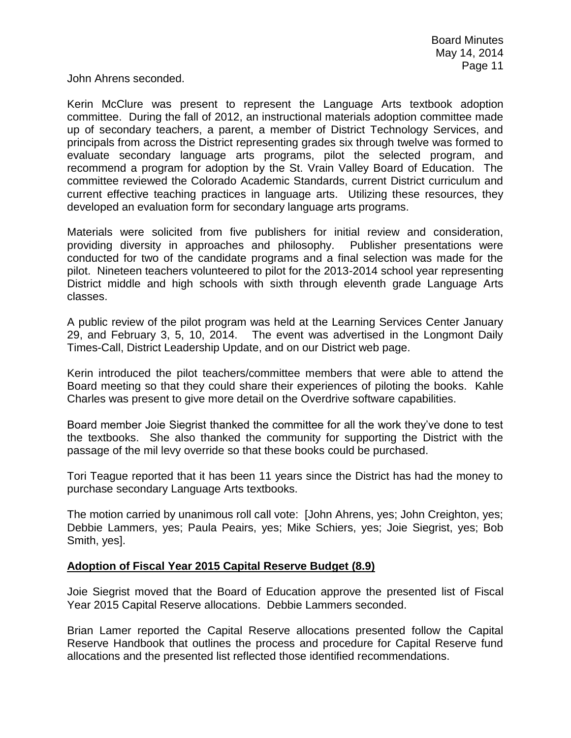John Ahrens seconded.

Kerin McClure was present to represent the Language Arts textbook adoption committee. During the fall of 2012, an instructional materials adoption committee made up of secondary teachers, a parent, a member of District Technology Services, and principals from across the District representing grades six through twelve was formed to evaluate secondary language arts programs, pilot the selected program, and recommend a program for adoption by the St. Vrain Valley Board of Education. The committee reviewed the Colorado Academic Standards, current District curriculum and current effective teaching practices in language arts. Utilizing these resources, they developed an evaluation form for secondary language arts programs.

Materials were solicited from five publishers for initial review and consideration, providing diversity in approaches and philosophy. Publisher presentations were conducted for two of the candidate programs and a final selection was made for the pilot. Nineteen teachers volunteered to pilot for the 2013-2014 school year representing District middle and high schools with sixth through eleventh grade Language Arts classes.

A public review of the pilot program was held at the Learning Services Center January 29, and February 3, 5, 10, 2014. The event was advertised in the Longmont Daily Times-Call, District Leadership Update, and on our District web page.

Kerin introduced the pilot teachers/committee members that were able to attend the Board meeting so that they could share their experiences of piloting the books. Kahle Charles was present to give more detail on the Overdrive software capabilities.

Board member Joie Siegrist thanked the committee for all the work they've done to test the textbooks. She also thanked the community for supporting the District with the passage of the mil levy override so that these books could be purchased.

Tori Teague reported that it has been 11 years since the District has had the money to purchase secondary Language Arts textbooks.

The motion carried by unanimous roll call vote: [John Ahrens, yes; John Creighton, yes; Debbie Lammers, yes; Paula Peairs, yes; Mike Schiers, yes; Joie Siegrist, yes; Bob Smith, yes].

### **Adoption of Fiscal Year 2015 Capital Reserve Budget (8.9)**

Joie Siegrist moved that the Board of Education approve the presented list of Fiscal Year 2015 Capital Reserve allocations. Debbie Lammers seconded.

Brian Lamer reported the Capital Reserve allocations presented follow the Capital Reserve Handbook that outlines the process and procedure for Capital Reserve fund allocations and the presented list reflected those identified recommendations.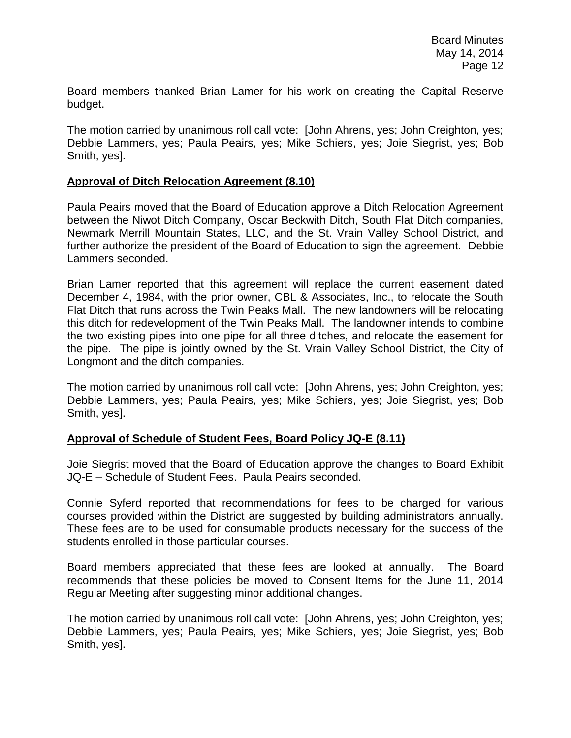Board members thanked Brian Lamer for his work on creating the Capital Reserve budget.

The motion carried by unanimous roll call vote: [John Ahrens, yes; John Creighton, yes; Debbie Lammers, yes; Paula Peairs, yes; Mike Schiers, yes; Joie Siegrist, yes; Bob Smith, yes].

#### **Approval of Ditch Relocation Agreement (8.10)**

Paula Peairs moved that the Board of Education approve a Ditch Relocation Agreement between the Niwot Ditch Company, Oscar Beckwith Ditch, South Flat Ditch companies, Newmark Merrill Mountain States, LLC, and the St. Vrain Valley School District, and further authorize the president of the Board of Education to sign the agreement. Debbie Lammers seconded.

Brian Lamer reported that this agreement will replace the current easement dated December 4, 1984, with the prior owner, CBL & Associates, Inc., to relocate the South Flat Ditch that runs across the Twin Peaks Mall. The new landowners will be relocating this ditch for redevelopment of the Twin Peaks Mall. The landowner intends to combine the two existing pipes into one pipe for all three ditches, and relocate the easement for the pipe. The pipe is jointly owned by the St. Vrain Valley School District, the City of Longmont and the ditch companies.

The motion carried by unanimous roll call vote: [John Ahrens, yes; John Creighton, yes; Debbie Lammers, yes; Paula Peairs, yes; Mike Schiers, yes; Joie Siegrist, yes; Bob Smith, yes].

### **Approval of Schedule of Student Fees, Board Policy JQ-E (8.11)**

Joie Siegrist moved that the Board of Education approve the changes to Board Exhibit JQ-E – Schedule of Student Fees. Paula Peairs seconded.

Connie Syferd reported that recommendations for fees to be charged for various courses provided within the District are suggested by building administrators annually. These fees are to be used for consumable products necessary for the success of the students enrolled in those particular courses.

Board members appreciated that these fees are looked at annually. The Board recommends that these policies be moved to Consent Items for the June 11, 2014 Regular Meeting after suggesting minor additional changes.

The motion carried by unanimous roll call vote: [John Ahrens, yes; John Creighton, yes; Debbie Lammers, yes; Paula Peairs, yes; Mike Schiers, yes; Joie Siegrist, yes; Bob Smith, yes].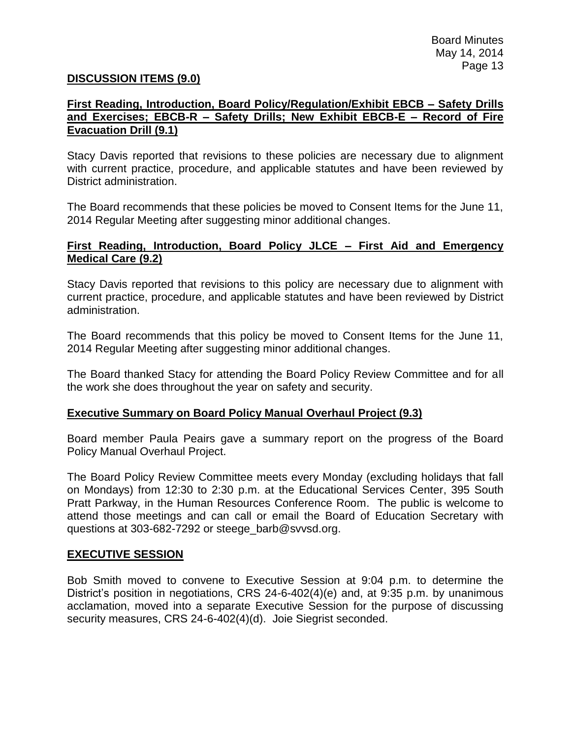### **DISCUSSION ITEMS (9.0)**

### **First Reading, Introduction, Board Policy/Regulation/Exhibit EBCB – Safety Drills and Exercises; EBCB-R – Safety Drills; New Exhibit EBCB-E – Record of Fire Evacuation Drill (9.1)**

Stacy Davis reported that revisions to these policies are necessary due to alignment with current practice, procedure, and applicable statutes and have been reviewed by District administration.

The Board recommends that these policies be moved to Consent Items for the June 11, 2014 Regular Meeting after suggesting minor additional changes.

### **First Reading, Introduction, Board Policy JLCE – First Aid and Emergency Medical Care (9.2)**

Stacy Davis reported that revisions to this policy are necessary due to alignment with current practice, procedure, and applicable statutes and have been reviewed by District administration.

The Board recommends that this policy be moved to Consent Items for the June 11, 2014 Regular Meeting after suggesting minor additional changes.

The Board thanked Stacy for attending the Board Policy Review Committee and for all the work she does throughout the year on safety and security.

### **Executive Summary on Board Policy Manual Overhaul Project (9.3)**

Board member Paula Peairs gave a summary report on the progress of the Board Policy Manual Overhaul Project.

The Board Policy Review Committee meets every Monday (excluding holidays that fall on Mondays) from 12:30 to 2:30 p.m. at the Educational Services Center, 395 South Pratt Parkway, in the Human Resources Conference Room. The public is welcome to attend those meetings and can call or email the Board of Education Secretary with questions at 303-682-7292 or steege\_barb@svvsd.org.

#### **EXECUTIVE SESSION**

Bob Smith moved to convene to Executive Session at 9:04 p.m. to determine the District's position in negotiations, CRS 24-6-402(4)(e) and, at 9:35 p.m. by unanimous acclamation, moved into a separate Executive Session for the purpose of discussing security measures, CRS 24-6-402(4)(d). Joie Siegrist seconded.